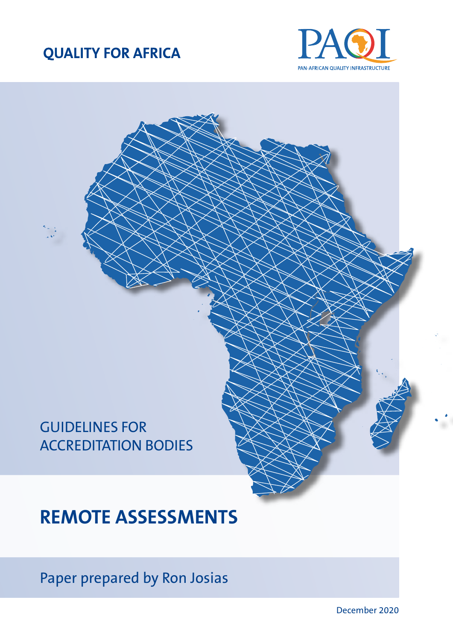## **QUALITY FOR AFRICA**



# GUIDELINES FOR ACCREDITATION BODIES

# **REMOTE ASSESSMENTS**

Paper prepared by Ron Josias

December 2020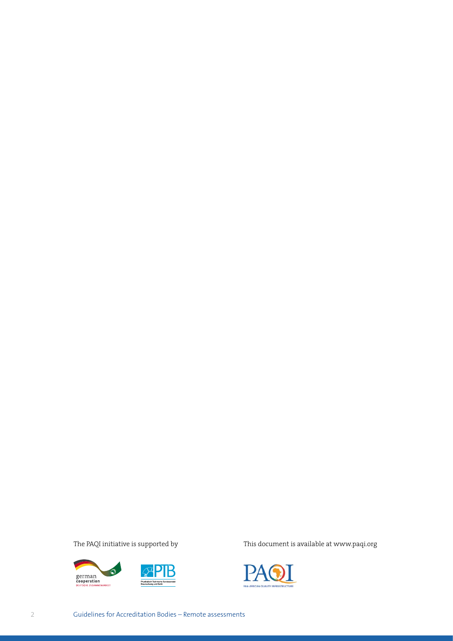

The PAQI initiative is supported by This document is available at www.paqi.org

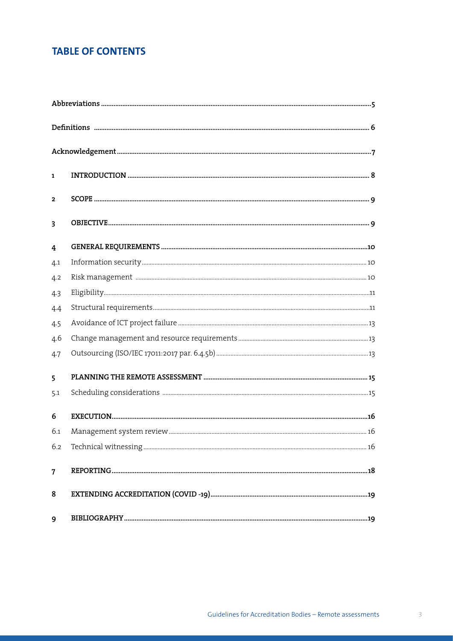## **TABLE OF CONTENTS**

| $\mathbf{1}$            |  |
|-------------------------|--|
| $\mathbf{2}$            |  |
| $\overline{\mathbf{3}}$ |  |
| 4                       |  |
| 4.1                     |  |
| 4.2                     |  |
| 4.3                     |  |
| 4.4                     |  |
| 4.5                     |  |
| 4.6                     |  |
| 4.7                     |  |
| 5                       |  |
| 5.1                     |  |
| 6                       |  |
| 6.1                     |  |
| 6.2                     |  |
| $\overline{7}$          |  |
| 8                       |  |
| 9                       |  |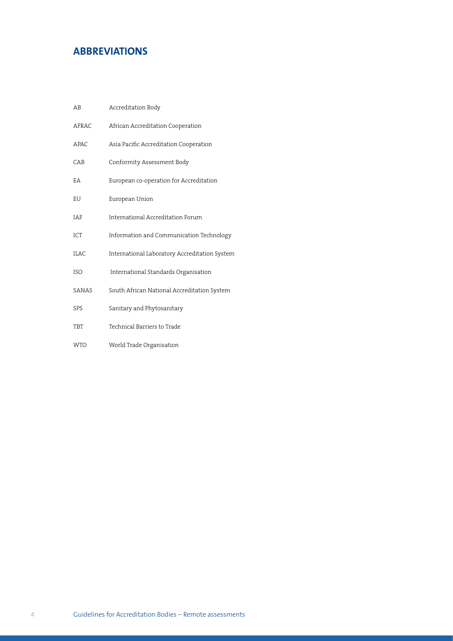## <span id="page-3-0"></span>**ABBREVIATIONS**

| AB          | Accreditation Body                            |
|-------------|-----------------------------------------------|
| AFRAC       | African Accreditation Cooperation             |
| <b>APAC</b> | Asia Pacific Accreditation Cooperation        |
| CAB         | Conformity Assessment Body                    |
| EA          | European co-operation for Accreditation       |
| EU          | European Union                                |
| <b>IAF</b>  | International Accreditation Forum             |
| ICT         | Information and Communication Technology      |
| <b>ILAC</b> | International Laboratory Accreditation System |
| <b>ISO</b>  | International Standards Organisation          |
| SANAS       | South African National Accreditation System   |
| SPS         | Sanitary and Phytosanitary                    |
| <b>TBT</b>  | Technical Barriers to Trade                   |
| <b>WTO</b>  | World Trade Organisation                      |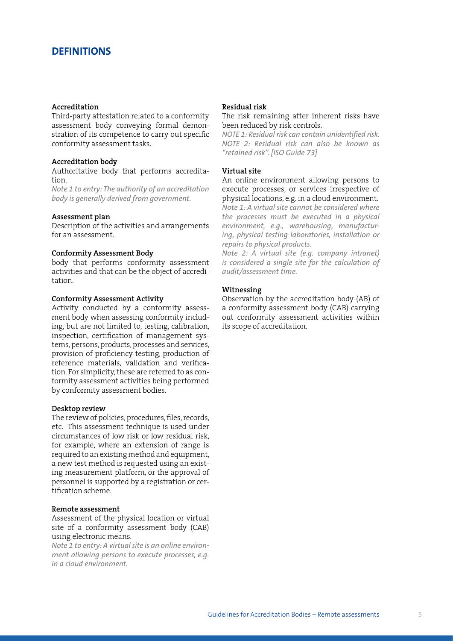## <span id="page-4-0"></span>**DEFINITIONS**

#### **Accreditation**

Third-party attestation related to a conformity assessment body conveying formal demonstration of its competence to carry out specific conformity assessment tasks.

#### **Accreditation body**

Authoritative body that performs accreditation.

*Note 1 to entry: The authority of an accreditation body is generally derived from government.*

#### **Assessment plan**

Description of the activities and arrangements for an assessment.

#### **Conformity Assessment Body**

body that performs conformity assessment activities and that can be the object of accreditation.

#### **Conformity Assessment Activity**

Activity conducted by a conformity assessment body when assessing conformity including, but are not limited to, testing, calibration, inspection, certification of management systems, persons, products, processes and services, provision of proficiency testing, production of reference materials, validation and verification. For simplicity, these are referred to as conformity assessment activities being performed by conformity assessment bodies.

#### **Desktop review**

The review of policies, procedures, files, records, etc. This assessment technique is used under circumstances of low risk or low residual risk, for example, where an extension of range is required to an existing method and equipment, a new test method is requested using an existing measurement platform, or the approval of personnel is supported by a registration or certification scheme.

#### **Remote assessment**

Assessment of the physical location or virtual site of a conformity assessment body (CAB) using electronic means.

*Note 1 to entry: A virtual site is an online environment allowing persons to execute processes, e.g. in a cloud environment.*

#### **Residual risk**

The risk remaining after inherent risks have been reduced by risk controls.

*NOTE 1: Residual risk can contain unidentified risk. NOTE 2: Residual risk can also be known as "retained risk". [ISO Guide 73]*

#### **Virtual site**

An online environment allowing persons to execute processes, or services irrespective of physical locations, e.g. in a cloud environment. *Note 1: A virtual site cannot be considered where the processes must be executed in a physical environment, e.g., warehousing, manufactur-*

*ing, physical testing laboratories, installation or repairs to physical products.*

*Note 2: A virtual site (e.g. company intranet) is considered a single site for the calculation of audit/assessment time.*

#### **Witnessing**

Observation by the accreditation body (AB) of a conformity assessment body (CAB) carrying out conformity assessment activities within its scope of accreditation.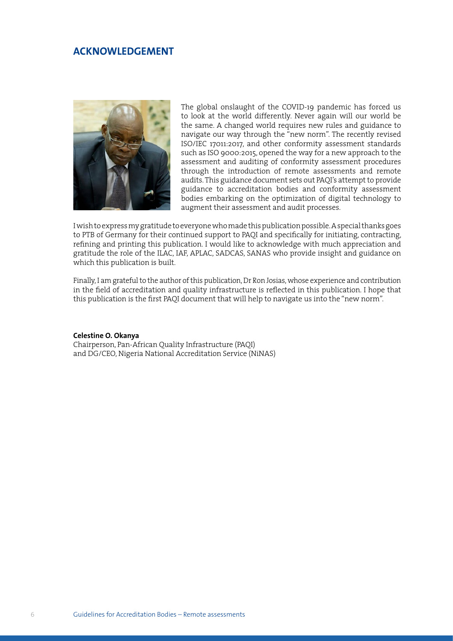## <span id="page-5-0"></span>**ACKNOWLEDGEMENT**



The global onslaught of the COVID-19 pandemic has forced us to look at the world differently. Never again will our world be the same. A changed world requires new rules and guidance to navigate our way through the "new norm". The recently revised ISO/IEC 17011:2017, and other conformity assessment standards such as ISO 9000:2015, opened the way for a new approach to the assessment and auditing of conformity assessment procedures through the introduction of remote assessments and remote audits. This guidance document sets out PAQI's attempt to provide guidance to accreditation bodies and conformity assessment bodies embarking on the optimization of digital technology to augment their assessment and audit processes.

I wish to express my gratitude to everyone who made this publication possible. A special thanks goes to PTB of Germany for their continued support to PAQI and specifically for initiating, contracting, refining and printing this publication. I would like to acknowledge with much appreciation and gratitude the role of the ILAC, IAF, APLAC, SADCAS, SANAS who provide insight and guidance on which this publication is built.

Finally, I am grateful to the author of this publication, Dr Ron Josias, whose experience and contribution in the field of accreditation and quality infrastructure is reflected in this publication. I hope that this publication is the first PAQI document that will help to navigate us into the "new norm".

#### **Celestine O. Okanya**

Chairperson, Pan-African Quality Infrastructure (PAQI) and DG/CEO, Nigeria National Accreditation Service (NiNAS)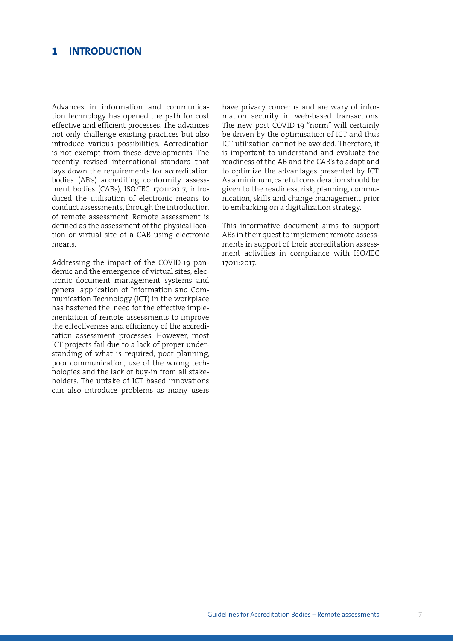## <span id="page-6-0"></span>**1 INTRODUCTION**

Advances in information and communication technology has opened the path for cost effective and efficient processes. The advances not only challenge existing practices but also introduce various possibilities. Accreditation is not exempt from these developments. The recently revised international standard that lays down the requirements for accreditation bodies (AB's) accrediting conformity assessment bodies (CABs), ISO/IEC 17011:2017, introduced the utilisation of electronic means to conduct assessments, through the introduction of remote assessment. Remote assessment is defined as the assessment of the physical location or virtual site of a CAB using electronic means.

Addressing the impact of the COVID-19 pandemic and the emergence of virtual sites, electronic document management systems and general application of Information and Communication Technology (ICT) in the workplace has hastened the need for the effective implementation of remote assessments to improve the effectiveness and efficiency of the accreditation assessment processes. However, most ICT projects fail due to a lack of proper understanding of what is required, poor planning, poor communication, use of the wrong technologies and the lack of buy-in from all stakeholders. The uptake of ICT based innovations can also introduce problems as many users have privacy concerns and are wary of information security in web-based transactions. The new post COVID-19 "norm" will certainly be driven by the optimisation of ICT and thus ICT utilization cannot be avoided. Therefore, it is important to understand and evaluate the readiness of the AB and the CAB's to adapt and to optimize the advantages presented by ICT. As a minimum, careful consideration should be given to the readiness, risk, planning, communication, skills and change management prior to embarking on a digitalization strategy.

This informative document aims to support ABs in their quest to implement remote assessments in support of their accreditation assessment activities in compliance with ISO/IEC 17011:2017.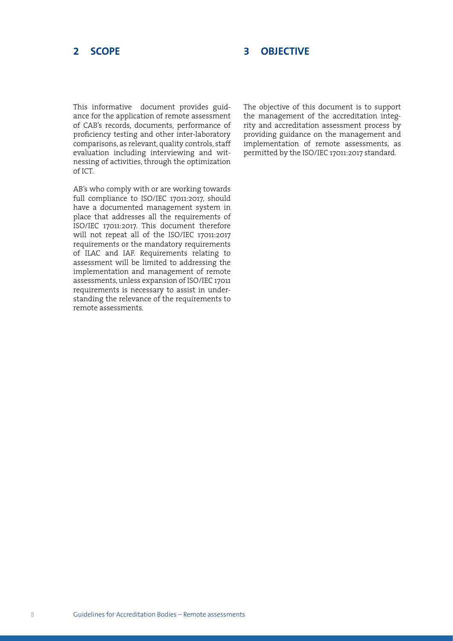## **3 OBJECTIVE**

<span id="page-7-0"></span>This informative document provides guidance for the application of remote assessment of CAB's records, documents, performance of proficiency testing and other inter-laboratory comparisons, as relevant, quality controls, staff evaluation including interviewing and witnessing of activities, through the optimization of ICT.

AB's who comply with or are working towards full compliance to ISO/IEC 17011:2017, should have a documented management system in place that addresses all the requirements of ISO/IEC 17011:2017. This document therefore will not repeat all of the ISO/IEC 17011:2017 requirements or the mandatory requirements of ILAC and IAF. Requirements relating to assessment will be limited to addressing the implementation and management of remote assessments, unless expansion of ISO/IEC 17011 requirements is necessary to assist in understanding the relevance of the requirements to remote assessments.

The objective of this document is to support the management of the accreditation integrity and accreditation assessment process by providing guidance on the management and implementation of remote assessments, as permitted by the ISO/IEC 17011:2017 standard.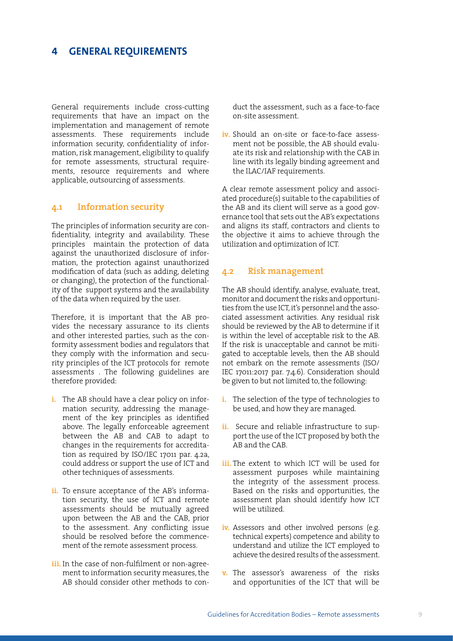## <span id="page-8-0"></span>**4 GENERAL REQUIREMENTS**

General requirements include cross-cutting requirements that have an impact on the implementation and management of remote assessments. These requirements include information security, confidentiality of information, risk management, eligibility to qualify for remote assessments, structural requirements, resource requirements and where applicable, outsourcing of assessments.

## **4.1 Information security**

The principles of information security are confidentiality, integrity and availability. These principles maintain the protection of data against the unauthorized disclosure of information, the protection against unauthorized modification of data (such as adding, deleting or changing), the protection of the functionality of the support systems and the availability of the data when required by the user.

Therefore, it is important that the AB provides the necessary assurance to its clients and other interested parties, such as the conformity assessment bodies and regulators that they comply with the information and security principles of the ICT protocols for remote assessments . The following guidelines are therefore provided:

- **i.** The AB should have a clear policy on information security, addressing the management of the key principles as identified above. The legally enforceable agreement between the AB and CAB to adapt to changes in the requirements for accreditation as required by ISO/IEC 17011 par. 4.2a, could address or support the use of ICT and other techniques of assessments.
- ii. To ensure acceptance of the AB's information security, the use of ICT and remote assessments should be mutually agreed upon between the AB and the CAB, prior to the assessment. Any conflicting issue should be resolved before the commencement of the remote assessment process.
- **iii.** In the case of non-fulfilment or non-agreement to information security measures, the AB should consider other methods to con-

duct the assessment, such as a face-to-face on-site assessment.

**iv.** Should an on-site or face-to-face assessment not be possible, the AB should evaluate its risk and relationship with the CAB in line with its legally binding agreement and the ILAC/IAF requirements.

A clear remote assessment policy and associated procedure(s) suitable to the capabilities of the AB and its client will serve as a good governance tool that sets out the AB's expectations and aligns its staff, contractors and clients to the objective it aims to achieve through the utilization and optimization of ICT.

### **4.2 Risk management**

The AB should identify, analyse, evaluate, treat, monitor and document the risks and opportunities from the use ICT, it's personnel and the associated assessment activities. Any residual risk should be reviewed by the AB to determine if it is within the level of acceptable risk to the AB. If the risk is unacceptable and cannot be mitigated to acceptable levels, then the AB should not embark on the remote assessments (ISO/ IEC 17011:2017 par. 7.4.6). Consideration should be given to but not limited to, the following:

- **i.** The selection of the type of technologies to be used, and how they are managed.
- ii. Secure and reliable infrastructure to support the use of the ICT proposed by both the AB and the CAB.
- **iii.** The extent to which ICT will be used for assessment purposes while maintaining the integrity of the assessment process. Based on the risks and opportunities, the assessment plan should identify how ICT will be utilized.
- iv. Assessors and other involved persons (e.g. technical experts) competence and ability to understand and utilize the ICT employed to achieve the desired results of the assessment.
- **v.** The assessor's awareness of the risks and opportunities of the ICT that will be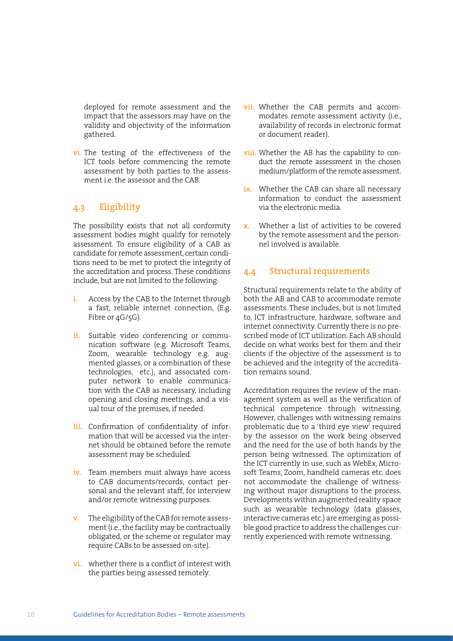<span id="page-9-0"></span>deployed for remote assessment and the impact that the assessors may have on the validity and objectivity of the information gathered.

**vi.** The testing of the effectiveness of the ICT tools before commencing the remote assessment by both parties to the assessment i.e. the assessor and the CAB.

## **4.3 Eligibility**

The possibility exists that not all conformity assessment bodies might qualify for remotely assessment. To ensure eligibility of a CAB as candidate for remote assessment, certain conditions need to be met to protect the integrity of the accreditation and process. These conditions include, but are not limited to the following:

- **i.** Access by the CAB to the Internet through a fast, reliable internet connection, (E.g. Fibre or  $4G/5G$ ).
- ii. Suitable video conferencing or communication software (e.g. Microsoft Teams, Zoom, wearable technology e.g. augmented glasses, or a combination of these technologies, etc.), and associated computer network to enable communication with the CAB as necessary, including opening and closing meetings, and a visual tour of the premises, if needed.
- iii. Confirmation of confidentiality of information that will be accessed via the internet should be obtained before the remote assessment may be scheduled.
- **iv.** Team members must always have access to CAB documents/records, contact personal and the relevant staff, for interview and/or remote witnessing purposes.
- **v.** The eligibility of the CAB for remote assessment (i.e., the facility may be contractually obligated, or the scheme or regulator may require CABs to be assessed on-site).
- **vi.** whether there is a conflict of interest with the parties being assessed remotely.
- **vii.** Whether the CAB permits and accommodates remote assessment activity (i.e., availability of records in electronic format or document reader).
- **viii.** Whether the AB has the capability to conduct the remote assessment in the chosen medium/platform of the remote assessment.
- **ix.** Whether the CAB can share all necessary information to conduct the assessment via the electronic media.
- **x.** Whether a list of activities to be covered by the remote assessment and the personnel involved is available.

## **4.4 Structural requirements**

Structural requirements relate to the ability of both the AB and CAB to accommodate remote assessments. These includes, but is not limited to, ICT infrastructure, hardware, software and internet connectivity. Currently there is no prescribed mode of ICT utilization. Each AB should decide on what works best for them and their clients if the objective of the assessment is to be achieved and the integrity of the accreditation remains sound.

Accreditation requires the review of the management system as well as the verification of technical competence through witnessing. However, challenges with witnessing remains problematic due to a 'third eye view' required by the assessor on the work being observed and the need for the use of both hands by the person being witnessed. The optimization of the ICT currently in use, such as WebEx, Microsoft Teams, Zoom, handheld cameras etc. does not accommodate the challenge of witnessing without major disruptions to the process. Developments within augmented reality space such as wearable technology (data glasses, interactive cameras etc.) are emerging as possible good practice to address the challenges currently experienced with remote witnessing.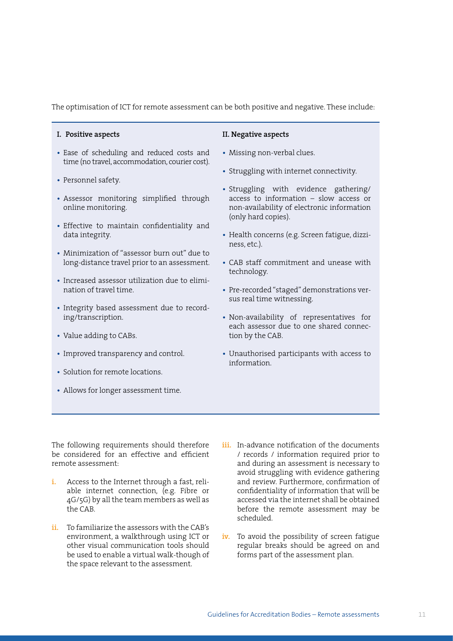The optimisation of ICT for remote assessment can be both positive and negative. These include:

#### **I. Positive aspects**

- **•** Ease of scheduling and reduced costs and time (no travel, accommodation, courier cost).
- **•** Personnel safety.
- **•** Assessor monitoring simplified through online monitoring.
- **•** Effective to maintain confidentiality and data integrity.
- **•** Minimization of "assessor burn out" due to long-distance travel prior to an assessment.
- **•** Increased assessor utilization due to elimination of travel time.
- **•** Integrity based assessment due to recording/transcription.
- **•** Value adding to CABs.
- **•** Improved transparency and control.
- **•** Solution for remote locations.
- **•** Allows for longer assessment time.

#### **II. Negative aspects**

- **•** Missing non-verbal clues.
- **•** Struggling with internet connectivity.
- **•** Struggling with evidence gathering/ access to information – slow access or non-availability of electronic information (only hard copies).
- **•** Health concerns (e.g. Screen fatigue, dizziness, etc.).
- **•** CAB staff commitment and unease with technology.
- **•** Pre-recorded "staged" demonstrations versus real time witnessing.
- **•** Non-availability of representatives for each assessor due to one shared connection by the CAB.
- **•** Unauthorised participants with access to information.

The following requirements should therefore be considered for an effective and efficient remote assessment:

- **i.** Access to the Internet through a fast, reliable internet connection, (e.g. Fibre or 4G/5G) by all the team members as well as the CAB.
- **ii.** To familiarize the assessors with the CAB's environment, a walkthrough using ICT or other visual communication tools should be used to enable a virtual walk-though of the space relevant to the assessment.
- **iii.** In-advance notification of the documents / records / information required prior to and during an assessment is necessary to avoid struggling with evidence gathering and review. Furthermore, confirmation of confidentiality of information that will be accessed via the internet shall be obtained before the remote assessment may be scheduled.
- **iv.** To avoid the possibility of screen fatigue regular breaks should be agreed on and forms part of the assessment plan.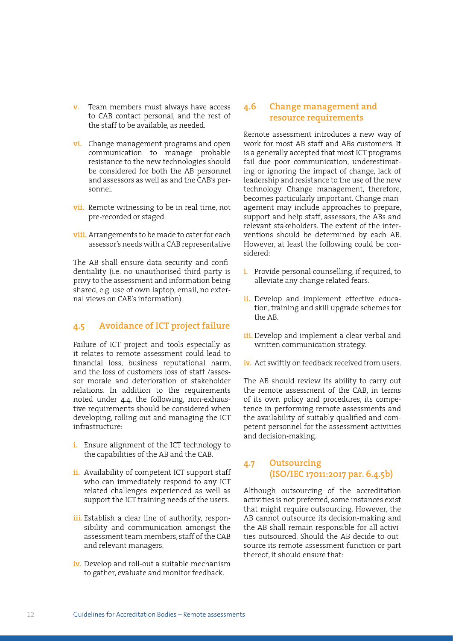- <span id="page-11-0"></span>**v.** Team members must always have access to CAB contact personal, and the rest of the staff to be available, as needed.
- **vi.** Change management programs and open communication to manage probable resistance to the new technologies should be considered for both the AB personnel and assessors as well as and the CAB's personnel.
- **vii.** Remote witnessing to be in real time, not pre-recorded or staged.
- **viii.** Arrangements to be made to cater for each assessor's needs with a CAB representative

The AB shall ensure data security and confidentiality (i.e. no unauthorised third party is privy to the assessment and information being shared, e.g. use of own laptop, email, no external views on CAB's information).

## **4.5 Avoidance of ICT project failure**

Failure of ICT project and tools especially as it relates to remote assessment could lead to financial loss, business reputational harm, and the loss of customers loss of staff /assessor morale and deterioration of stakeholder relations. In addition to the requirements noted under 4.4, the following, non-exhaustive requirements should be considered when developing, rolling out and managing the ICT infrastructure:

- **i.** Ensure alignment of the ICT technology to the capabilities of the AB and the CAB.
- **ii.** Availability of competent ICT support staff who can immediately respond to any ICT related challenges experienced as well as support the ICT training needs of the users.
- iii. Establish a clear line of authority, responsibility and communication amongst the assessment team members, staff of the CAB and relevant managers.
- **iv.** Develop and roll-out a suitable mechanism to gather, evaluate and monitor feedback.

## **4.6 Change management and resource requirements**

Remote assessment introduces a new way of work for most AB staff and ABs customers. It is a generally accepted that most ICT programs fail due poor communication, underestimating or ignoring the impact of change, lack of leadership and resistance to the use of the new technology. Change management, therefore, becomes particularly important. Change management may include approaches to prepare, support and help staff, assessors, the ABs and relevant stakeholders. The extent of the interventions should be determined by each AB. However, at least the following could be considered:

- **i.** Provide personal counselling, if required, to alleviate any change related fears.
- **ii.** Develop and implement effective education, training and skill upgrade schemes for the AB.
- **iii.** Develop and implement a clear verbal and written communication strategy.
- **iv.** Act swiftly on feedback received from users.

The AB should review its ability to carry out the remote assessment of the CAB, in terms of its own policy and procedures, its competence in performing remote assessments and the availability of suitably qualified and competent personnel for the assessment activities and decision-making.

## **4.7 Outsourcing (ISO/IEC 17011:2017 par. 6.4.5b)**

Although outsourcing of the accreditation activities is not preferred, some instances exist that might require outsourcing. However, the AB cannot outsource its decision-making and the AB shall remain responsible for all activities outsourced. Should the AB decide to outsource its remote assessment function or part thereof, it should ensure that: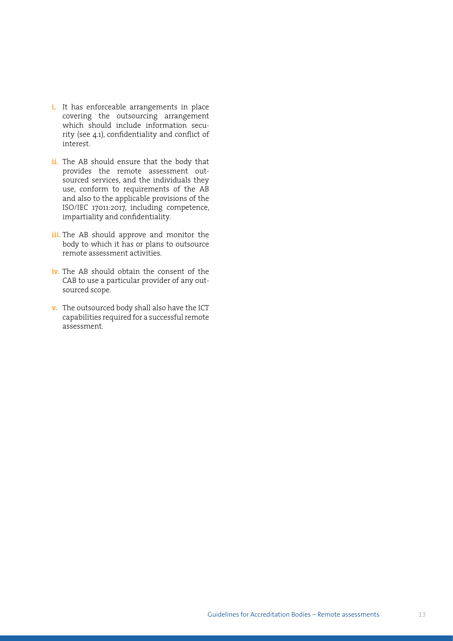- **i.** It has enforceable arrangements in place covering the outsourcing arrangement which should include information security (see 4.1), confidentiality and conflict of interest.
- **ii.** The AB should ensure that the body that provides the remote assessment outsourced services, and the individuals they use, conform to requirements of the AB and also to the applicable provisions of the ISO/IEC 17011:2017, including competence, impartiality and confidentiality.
- **iii.** The AB should approve and monitor the body to which it has or plans to outsource remote assessment activities.
- **iv.** The AB should obtain the consent of the CAB to use a particular provider of any outsourced scope.
- **v.** The outsourced body shall also have the ICT capabilities required for a successful remote assessment.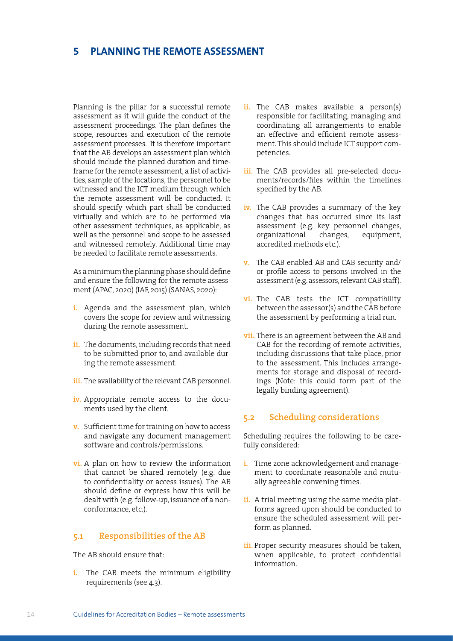## <span id="page-13-0"></span>**5 PLANNING THE REMOTE ASSESSMENT**

Planning is the pillar for a successful remote assessment as it will guide the conduct of the assessment proceedings. The plan defines the scope, resources and execution of the remote assessment processes. It is therefore important that the AB develops an assessment plan which should include the planned duration and timeframe for the remote assessment, a list of activities, sample of the locations, the personnel to be witnessed and the ICT medium through which the remote assessment will be conducted. It should specify which part shall be conducted virtually and which are to be performed via other assessment techniques, as applicable, as well as the personnel and scope to be assessed and witnessed remotely. Additional time may be needed to facilitate remote assessments.

As a minimum the planning phase should define and ensure the following for the remote assessment (APAC, 2020) (IAF, 2015) (SANAS, 2020):

- **i.** Agenda and the assessment plan, which covers the scope for review and witnessing during the remote assessment.
- **ii.** The documents, including records that need to be submitted prior to, and available during the remote assessment.
- iii. The availability of the relevant CAB personnel.
- **iv.** Appropriate remote access to the documents used by the client.
- **v.** Sufficient time for training on how to access and navigate any document management software and controls/permissions.
- **vi.** A plan on how to review the information that cannot be shared remotely (e.g. due to confidentiality or access issues). The AB should define or express how this will be dealt with (e.g. follow-up, issuance of a nonconformance, etc.).

## **5.1 Responsibilities of the AB**

The AB should ensure that:

**i.** The CAB meets the minimum eligibility requirements (see 4.3).

- ii. The CAB makes available a person(s) responsible for facilitating, managing and coordinating all arrangements to enable an effective and efficient remote assessment. This should include ICT support competencies.
- iii. The CAB provides all pre-selected documents/records/files within the timelines specified by the AB.
- **iv.** The CAB provides a summary of the key changes that has occurred since its last assessment (e.g. key personnel changes, organizational changes, equipment, accredited methods etc.).
- **v.** The CAB enabled AB and CAB security and/ or profile access to persons involved in the assessment (e.g. assessors, relevant CAB staff).
- **vi.** The CAB tests the ICT compatibility between the assessor(s) and the CAB before the assessment by performing a trial run.
- **vii.** There is an agreement between the AB and CAB for the recording of remote activities, including discussions that take place, prior to the assessment. This includes arrangements for storage and disposal of recordings (Note: this could form part of the legally binding agreement).

## **5.2 Scheduling considerations**

Scheduling requires the following to be carefully considered:

- **i.** Time zone acknowledgement and management to coordinate reasonable and mutually agreeable convening times.
- **ii.** A trial meeting using the same media platforms agreed upon should be conducted to ensure the scheduled assessment will perform as planned.
- **iii.** Proper security measures should be taken, when applicable, to protect confidential information.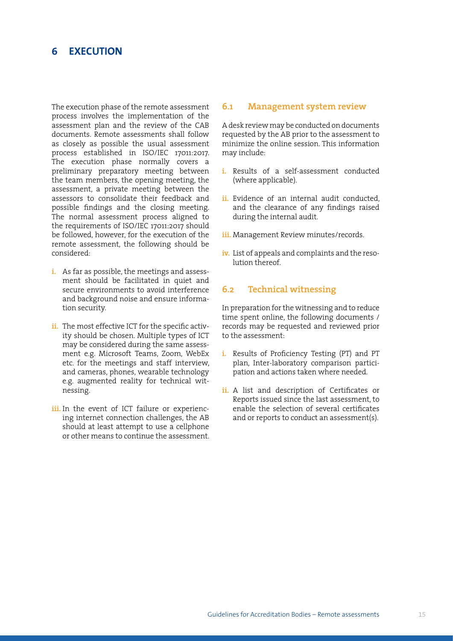## <span id="page-14-0"></span>**6 EXECUTION**

The execution phase of the remote assessment process involves the implementation of the assessment plan and the review of the CAB documents. Remote assessments shall follow as closely as possible the usual assessment process established in ISO/IEC 17011:2017. The execution phase normally covers a preliminary preparatory meeting between the team members, the opening meeting, the assessment, a private meeting between the assessors to consolidate their feedback and possible findings and the closing meeting. The normal assessment process aligned to the requirements of ISO/IEC 17011:2017 should be followed, however, for the execution of the remote assessment, the following should be considered:

- **i.** As far as possible, the meetings and assessment should be facilitated in quiet and secure environments to avoid interference and background noise and ensure information security.
- ii. The most effective ICT for the specific activity should be chosen. Multiple types of ICT may be considered during the same assessment e.g. Microsoft Teams, Zoom, WebEx etc. for the meetings and staff interview, and cameras, phones, wearable technology e.g. augmented reality for technical witnessing.
- iii. In the event of ICT failure or experiencing internet connection challenges, the AB should at least attempt to use a cellphone or other means to continue the assessment.

#### **6.1 Management system review**

A desk review may be conducted on documents requested by the AB prior to the assessment to minimize the online session. This information may include:

- **i.** Results of a self-assessment conducted (where applicable).
- **ii.** Evidence of an internal audit conducted, and the clearance of any findings raised during the internal audit.
- **iii.** Management Review minutes/records.
- **iv.** List of appeals and complaints and the resolution thereof.

## **6.2 Technical witnessing**

In preparation for the witnessing and to reduce time spent online, the following documents / records may be requested and reviewed prior to the assessment:

- **i.** Results of Proficiency Testing (PT) and PT plan, Inter-laboratory comparison participation and actions taken where needed.
- **ii.** A list and description of Certificates or Reports issued since the last assessment, to enable the selection of several certificates and or reports to conduct an assessment(s).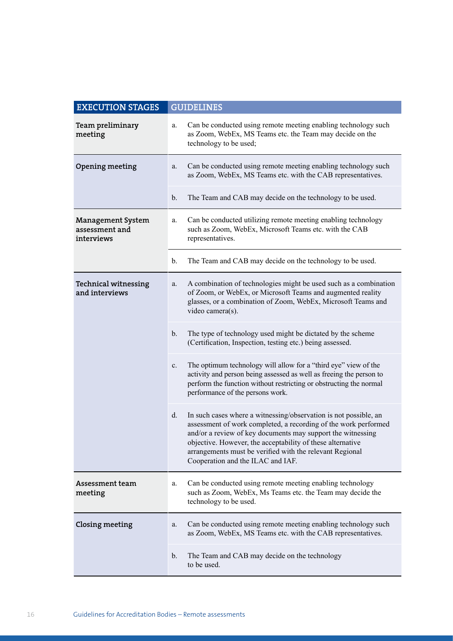| <b>EXECUTION STAGES</b>                                  |               | <b>GUIDELINES</b>                                                                                                                                                                                                                                                                                                                                                 |  |  |  |
|----------------------------------------------------------|---------------|-------------------------------------------------------------------------------------------------------------------------------------------------------------------------------------------------------------------------------------------------------------------------------------------------------------------------------------------------------------------|--|--|--|
| Team preliminary<br>meeting                              | a.            | Can be conducted using remote meeting enabling technology such<br>as Zoom, WebEx, MS Teams etc. the Team may decide on the<br>technology to be used;                                                                                                                                                                                                              |  |  |  |
| Opening meeting                                          | a.            | Can be conducted using remote meeting enabling technology such<br>as Zoom, WebEx, MS Teams etc. with the CAB representatives.                                                                                                                                                                                                                                     |  |  |  |
|                                                          | b.            | The Team and CAB may decide on the technology to be used.                                                                                                                                                                                                                                                                                                         |  |  |  |
| <b>Management System</b><br>assessment and<br>interviews |               | Can be conducted utilizing remote meeting enabling technology<br>such as Zoom, WebEx, Microsoft Teams etc. with the CAB<br>representatives.                                                                                                                                                                                                                       |  |  |  |
|                                                          | b.            | The Team and CAB may decide on the technology to be used.                                                                                                                                                                                                                                                                                                         |  |  |  |
| <b>Technical witnessing</b><br>and interviews            |               | A combination of technologies might be used such as a combination<br>of Zoom, or WebEx, or Microsoft Teams and augmented reality<br>glasses, or a combination of Zoom, WebEx, Microsoft Teams and<br>video camera(s).                                                                                                                                             |  |  |  |
|                                                          | $\mathbf b$ . | The type of technology used might be dictated by the scheme<br>(Certification, Inspection, testing etc.) being assessed.                                                                                                                                                                                                                                          |  |  |  |
|                                                          | c.            | The optimum technology will allow for a "third eye" view of the<br>activity and person being assessed as well as freeing the person to<br>perform the function without restricting or obstructing the normal<br>performance of the persons work.                                                                                                                  |  |  |  |
|                                                          | d.            | In such cases where a witnessing/observation is not possible, an<br>assessment of work completed, a recording of the work performed<br>and/or a review of key documents may support the witnessing<br>objective. However, the acceptability of these alternative<br>arrangements must be verified with the relevant Regional<br>Cooperation and the ILAC and IAF. |  |  |  |
| Assessment team<br>meeting                               | a.            | Can be conducted using remote meeting enabling technology<br>such as Zoom, WebEx, Ms Teams etc. the Team may decide the<br>technology to be used.                                                                                                                                                                                                                 |  |  |  |
| Closing meeting                                          |               | Can be conducted using remote meeting enabling technology such<br>as Zoom, WebEx, MS Teams etc. with the CAB representatives.                                                                                                                                                                                                                                     |  |  |  |
|                                                          |               | The Team and CAB may decide on the technology<br>to be used.                                                                                                                                                                                                                                                                                                      |  |  |  |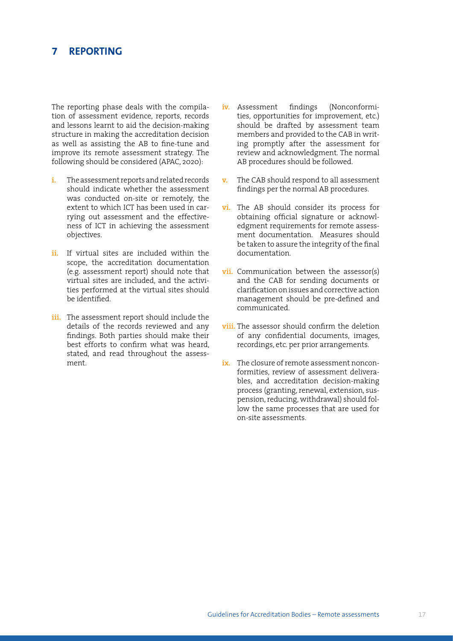## <span id="page-16-0"></span>**7 REPORTING**

The reporting phase deals with the compilation of assessment evidence, reports, records and lessons learnt to aid the decision-making structure in making the accreditation decision as well as assisting the AB to fine-tune and improve its remote assessment strategy. The following should be considered (APAC, 2020):

- **i.** The assessment reports and related records should indicate whether the assessment was conducted on-site or remotely, the extent to which ICT has been used in carrying out assessment and the effectiveness of ICT in achieving the assessment objectives.
- **ii.** If virtual sites are included within the scope, the accreditation documentation (e.g. assessment report) should note that virtual sites are included, and the activities performed at the virtual sites should be identified.
- **iii.** The assessment report should include the details of the records reviewed and any findings. Both parties should make their best efforts to confirm what was heard, stated, and read throughout the assessment.
- **iv.** Assessment findings (Nonconformities, opportunities for improvement, etc.) should be drafted by assessment team members and provided to the CAB in writing promptly after the assessment for review and acknowledgment. The normal AB procedures should be followed.
- **v.** The CAB should respond to all assessment findings per the normal AB procedures.
- **vi.** The AB should consider its process for obtaining official signature or acknowledgment requirements for remote assessment documentation. Measures should be taken to assure the integrity of the final documentation.
- **vii.** Communication between the assessor(s) and the CAB for sending documents or clarificationonissues and corrective action management should be pre-defined and communicated.
- **viii.** The assessor should confirm the deletion of any confidential documents, images, recordings, etc. per prior arrangements.
- **ix.** The closure of remote assessment nonconformities, review of assessment deliverables, and accreditation decision-making process (granting, renewal, extension, suspension, reducing, withdrawal) should follow the same processes that are used for on-site assessments.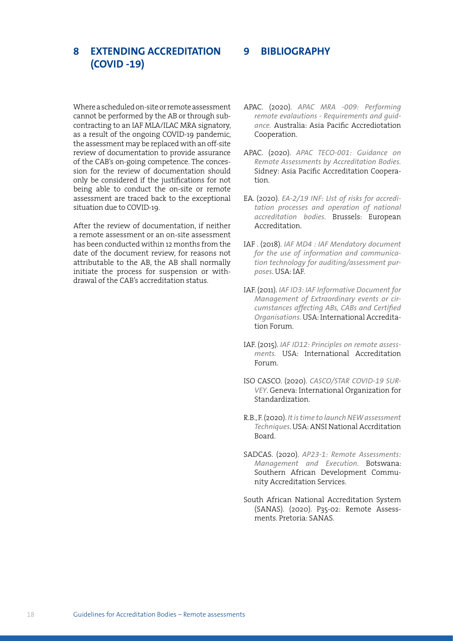## <span id="page-17-0"></span>**8 EXTENDING ACCREDITATION (COVID -19)**

Where a scheduled on-site or remote assessment cannot be performed by the AB or through subcontracting to an IAF MLA/ILAC MRA signatory, as a result of the ongoing COVID-19 pandemic, the assessment may be replaced with an off-site review of documentation to provide assurance of the CAB's on-going competence. The concession for the review of documentation should only be considered if the justifications for not being able to conduct the on-site or remote assessment are traced back to the exceptional situation due to COVID-19.

After the review of documentation, if neither a remote assessment or an on-site assessment has been conducted within 12 months from the date of the document review, for reasons not attributable to the AB, the AB shall normally initiate the process for suspension or withdrawal of the CAB's accreditation status.

APAC. (2020). *APAC MRA -009: Performing remote evalautions - Requirements and guidance.* Australia: Asia Pacific Accrediotation Cooperation.

**9 BIBLIOGRAPHY**

- APAC. (2020). *APAC TECO-001: Guidance on Remote Assessments by Accreditation Bodies.* Sidney: Asia Pacific Accreditation Cooperation.
- EA. (2020). *EA-2/19 INF: LIst of risks for accreditation processes and operation of national accreditation bodies*. Brussels: European Accreditation.
- IAF . (2018). *IAF MD4 : IAF Mendatory document for the use of information and communication technology for auditing/assessment purposes*. USA: IAF.
- IAF. (2011). *IAF ID3: IAF Informative Document for Management of Extraordinary events or circumstances affecting ABs, CABs and Certified Organisations.* USA: International Accreditation Forum.
- IAF. (2015). *IAF ID12: Principles on remote assessments.* USA: International Accreditation Forum.
- ISO CASCO. (2020). *CASCO/STAR COVID-19 SUR-VEY*. Geneva: International Organization for Standardization.
- R.B., F. (2020). *It is time to launch NEW assessment Techniques*. USA: ANSI National Accrditation Board.
- SADCAS. (2020). *AP23-1: Remote Assessments: Management and Execution*. Botswana: Southern African Development Community Accreditation Services.
- South African National Accreditation System (SANAS). (2020). P35-02: Remote Assessments. Pretoria: SANAS.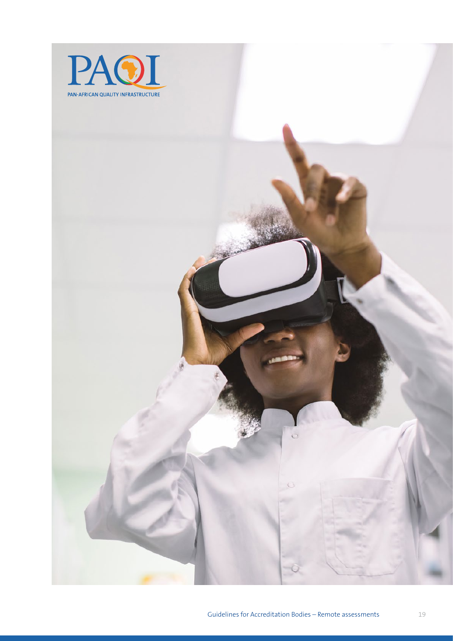